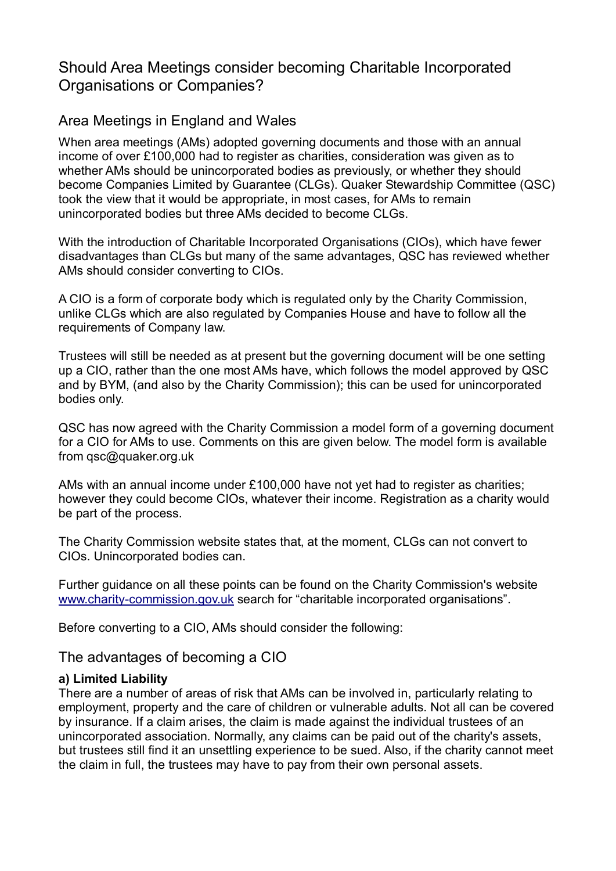# Should Area Meetings consider becoming Charitable Incorporated Organisations or Companies?

## Area Meetings in England and Wales

When area meetings (AMs) adopted governing documents and those with an annual income of over £100,000 had to register as charities, consideration was given as to whether AMs should be unincorporated bodies as previously, or whether they should become Companies Limited by Guarantee (CLGs). Quaker Stewardship Committee (QSC) took the view that it would be appropriate, in most cases, for AMs to remain unincorporated bodies but three AMs decided to become CLGs.

With the introduction of Charitable Incorporated Organisations (CIOs), which have fewer disadvantages than CLGs but many of the same advantages, QSC has reviewed whether AMs should consider converting to CIOs.

A CIO is a form of corporate body which is regulated only by the Charity Commission, unlike CLGs which are also regulated by Companies House and have to follow all the requirements of Company law.

Trustees will still be needed as at present but the governing document will be one setting up a CIO, rather than the one most AMs have, which follows the model approved by QSC and by BYM, (and also by the Charity Commission); this can be used for unincorporated bodies only.

QSC has now agreed with the Charity Commission a model form of a governing document for a CIO for AMs to use. Comments on this are given below. The model form is available from qsc@quaker.org.uk

AMs with an annual income under £100,000 have not yet had to register as charities; however they could become CIOs, whatever their income. Registration as a charity would be part of the process.

The Charity Commission website states that, at the moment, CLGs can not convert to CIOs. Unincorporated bodies can.

Further guidance on all these points can be found on the Charity Commission's website [www.charity-commission.gov.uk](http://www.charity-commission.gov.uk/) search for "charitable incorporated organisations".

Before converting to a CIO, AMs should consider the following:

The advantages of becoming a CIO

### **a) Limited Liability**

There are a number of areas of risk that AMs can be involved in, particularly relating to employment, property and the care of children or vulnerable adults. Not all can be covered by insurance. If a claim arises, the claim is made against the individual trustees of an unincorporated association. Normally, any claims can be paid out of the charity's assets, but trustees still find it an unsettling experience to be sued. Also, if the charity cannot meet the claim in full, the trustees may have to pay from their own personal assets.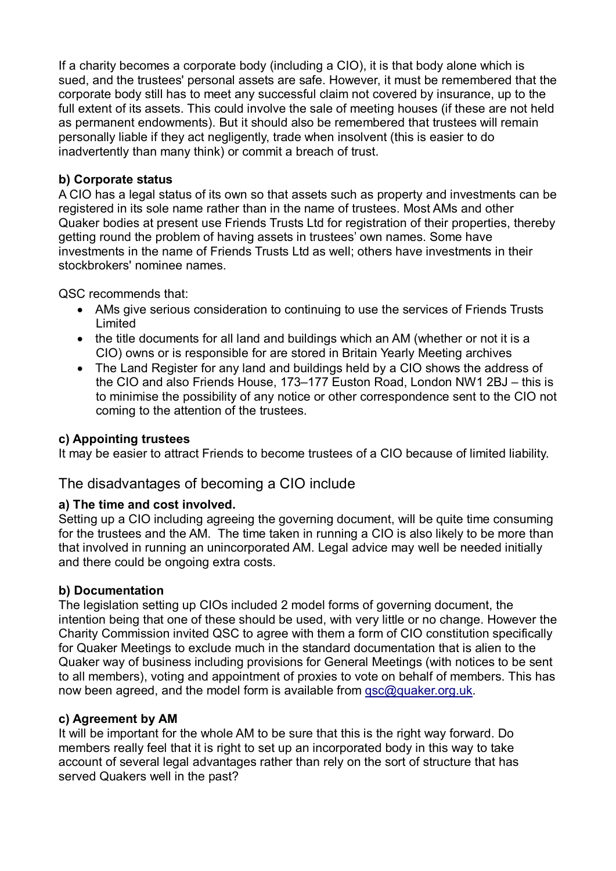If a charity becomes a corporate body (including a CIO), it is that body alone which is sued, and the trustees' personal assets are safe. However, it must be remembered that the corporate body still has to meet any successful claim not covered by insurance, up to the full extent of its assets. This could involve the sale of meeting houses (if these are not held as permanent endowments). But it should also be remembered that trustees will remain personally liable if they act negligently, trade when insolvent (this is easier to do inadvertently than many think) or commit a breach of trust.

### **b) Corporate status**

A CIO has a legal status of its own so that assets such as property and investments can be registered in its sole name rather than in the name of trustees. Most AMs and other Quaker bodies at present use Friends Trusts Ltd for registration of their properties, thereby getting round the problem of having assets in trustees' own names. Some have investments in the name of Friends Trusts Ltd as well; others have investments in their stockbrokers' nominee names.

QSC recommends that:

- AMs give serious consideration to continuing to use the services of Friends Trusts Limited
- the title documents for all land and buildings which an AM (whether or not it is a CIO) owns or is responsible for are stored in Britain Yearly Meeting archives
- The Land Register for any land and buildings held by a CIO shows the address of the CIO and also Friends House, 173–177 Euston Road, London NW1 2BJ – this is to minimise the possibility of any notice or other correspondence sent to the CIO not coming to the attention of the trustees.

#### **c) Appointing trustees**

It may be easier to attract Friends to become trustees of a CIO because of limited liability.

## The disadvantages of becoming a CIO include

#### **a) The time and cost involved.**

Setting up a CIO including agreeing the governing document, will be quite time consuming for the trustees and the AM. The time taken in running a CIO is also likely to be more than that involved in running an unincorporated AM. Legal advice may well be needed initially and there could be ongoing extra costs.

#### **b) Documentation**

The legislation setting up CIOs included 2 model forms of governing document, the intention being that one of these should be used, with very little or no change. However the Charity Commission invited QSC to agree with them a form of CIO constitution specifically for Quaker Meetings to exclude much in the standard documentation that is alien to the Quaker way of business including provisions for General Meetings (with notices to be sent to all members), voting and appointment of proxies to vote on behalf of members. This has now been agreed, and the model form is available from [qsc@quaker.org.uk.](mailto:qsc@quaker.org.uk)

#### **c) Agreement by AM**

It will be important for the whole AM to be sure that this is the right way forward. Do members really feel that it is right to set up an incorporated body in this way to take account of several legal advantages rather than rely on the sort of structure that has served Quakers well in the past?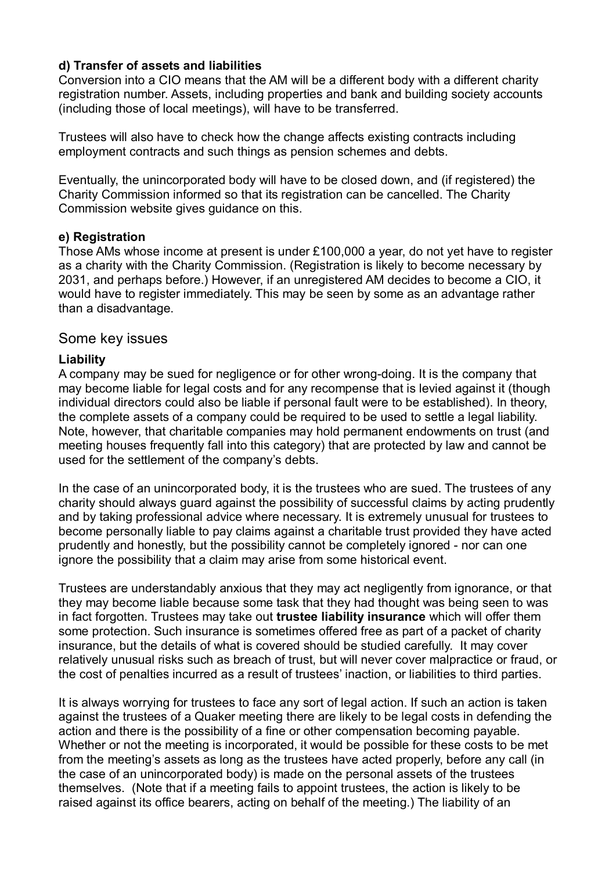### **d) Transfer of assets and liabilities**

Conversion into a CIO means that the AM will be a different body with a different charity registration number. Assets, including properties and bank and building society accounts (including those of local meetings), will have to be transferred.

Trustees will also have to check how the change affects existing contracts including employment contracts and such things as pension schemes and debts.

Eventually, the unincorporated body will have to be closed down, and (if registered) the Charity Commission informed so that its registration can be cancelled. The Charity Commission website gives guidance on this.

#### **e) Registration**

Those AMs whose income at present is under £100,000 a year, do not yet have to register as a charity with the Charity Commission. (Registration is likely to become necessary by 2031, and perhaps before.) However, if an unregistered AM decides to become a CIO, it would have to register immediately. This may be seen by some as an advantage rather than a disadvantage.

### Some key issues

### **Liability**

A company may be sued for negligence or for other wrong-doing. It is the company that may become liable for legal costs and for any recompense that is levied against it (though individual directors could also be liable if personal fault were to be established). In theory, the complete assets of a company could be required to be used to settle a legal liability. Note, however, that charitable companies may hold permanent endowments on trust (and meeting houses frequently fall into this category) that are protected by law and cannot be used for the settlement of the company's debts.

In the case of an unincorporated body, it is the trustees who are sued. The trustees of any charity should always guard against the possibility of successful claims by acting prudently and by taking professional advice where necessary. It is extremely unusual for trustees to become personally liable to pay claims against a charitable trust provided they have acted prudently and honestly, but the possibility cannot be completely ignored - nor can one ignore the possibility that a claim may arise from some historical event.

Trustees are understandably anxious that they may act negligently from ignorance, or that they may become liable because some task that they had thought was being seen to was in fact forgotten. Trustees may take out **trustee liability insurance** which will offer them some protection. Such insurance is sometimes offered free as part of a packet of charity insurance, but the details of what is covered should be studied carefully. It may cover relatively unusual risks such as breach of trust, but will never cover malpractice or fraud, or the cost of penalties incurred as a result of trustees' inaction, or liabilities to third parties.

It is always worrying for trustees to face any sort of legal action. If such an action is taken against the trustees of a Quaker meeting there are likely to be legal costs in defending the action and there is the possibility of a fine or other compensation becoming payable. Whether or not the meeting is incorporated, it would be possible for these costs to be met from the meeting's assets as long as the trustees have acted properly, before any call (in the case of an unincorporated body) is made on the personal assets of the trustees themselves. (Note that if a meeting fails to appoint trustees, the action is likely to be raised against its office bearers, acting on behalf of the meeting.) The liability of an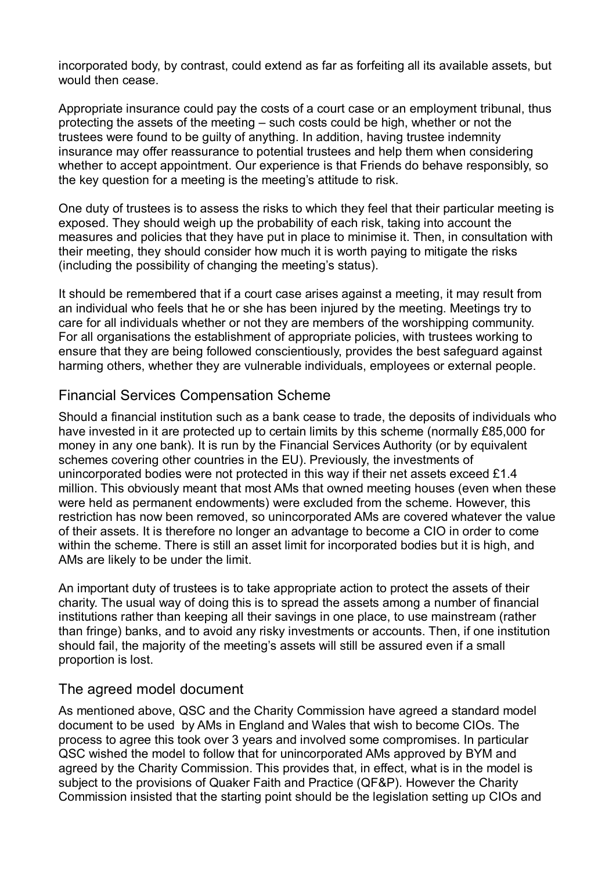incorporated body, by contrast, could extend as far as forfeiting all its available assets, but would then cease.

Appropriate insurance could pay the costs of a court case or an employment tribunal, thus protecting the assets of the meeting – such costs could be high, whether or not the trustees were found to be guilty of anything. In addition, having trustee indemnity insurance may offer reassurance to potential trustees and help them when considering whether to accept appointment. Our experience is that Friends do behave responsibly, so the key question for a meeting is the meeting's attitude to risk.

One duty of trustees is to assess the risks to which they feel that their particular meeting is exposed. They should weigh up the probability of each risk, taking into account the measures and policies that they have put in place to minimise it. Then, in consultation with their meeting, they should consider how much it is worth paying to mitigate the risks (including the possibility of changing the meeting's status).

It should be remembered that if a court case arises against a meeting, it may result from an individual who feels that he or she has been injured by the meeting. Meetings try to care for all individuals whether or not they are members of the worshipping community. For all organisations the establishment of appropriate policies, with trustees working to ensure that they are being followed conscientiously, provides the best safeguard against harming others, whether they are vulnerable individuals, employees or external people.

## Financial Services Compensation Scheme

Should a financial institution such as a bank cease to trade, the deposits of individuals who have invested in it are protected up to certain limits by this scheme (normally £85,000 for money in any one bank). It is run by the Financial Services Authority (or by equivalent schemes covering other countries in the EU). Previously, the investments of unincorporated bodies were not protected in this way if their net assets exceed £1.4 million. This obviously meant that most AMs that owned meeting houses (even when these were held as permanent endowments) were excluded from the scheme. However, this restriction has now been removed, so unincorporated AMs are covered whatever the value of their assets. It is therefore no longer an advantage to become a CIO in order to come within the scheme. There is still an asset limit for incorporated bodies but it is high, and AMs are likely to be under the limit.

An important duty of trustees is to take appropriate action to protect the assets of their charity. The usual way of doing this is to spread the assets among a number of financial institutions rather than keeping all their savings in one place, to use mainstream (rather than fringe) banks, and to avoid any risky investments or accounts. Then, if one institution should fail, the majority of the meeting's assets will still be assured even if a small proportion is lost.

## The agreed model document

As mentioned above, QSC and the Charity Commission have agreed a standard model document to be used by AMs in England and Wales that wish to become CIOs. The process to agree this took over 3 years and involved some compromises. In particular QSC wished the model to follow that for unincorporated AMs approved by BYM and agreed by the Charity Commission. This provides that, in effect, what is in the model is subject to the provisions of Quaker Faith and Practice (QF&P). However the Charity Commission insisted that the starting point should be the legislation setting up CIOs and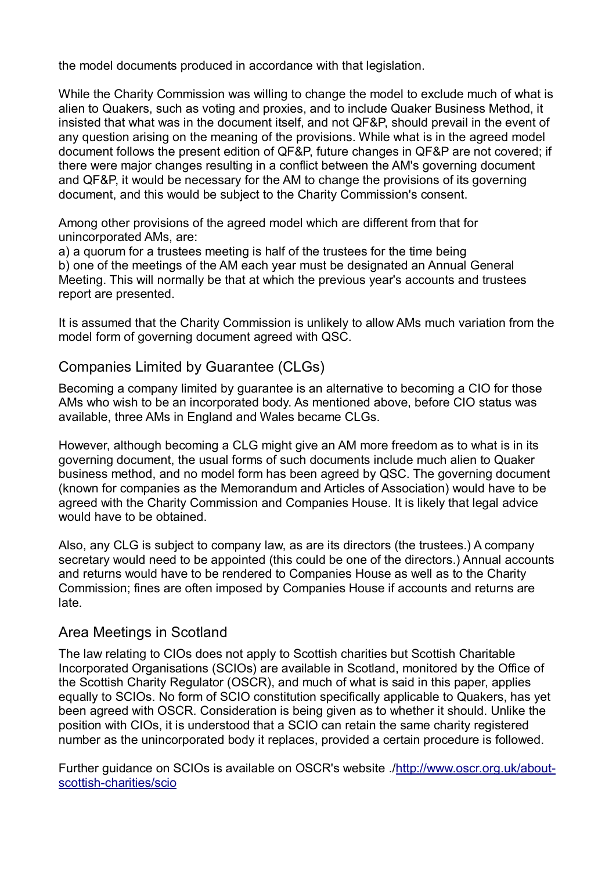the model documents produced in accordance with that legislation.

While the Charity Commission was willing to change the model to exclude much of what is alien to Quakers, such as voting and proxies, and to include Quaker Business Method, it insisted that what was in the document itself, and not QF&P, should prevail in the event of any question arising on the meaning of the provisions. While what is in the agreed model document follows the present edition of QF&P, future changes in QF&P are not covered; if there were major changes resulting in a conflict between the AM's governing document and QF&P, it would be necessary for the AM to change the provisions of its governing document, and this would be subject to the Charity Commission's consent.

Among other provisions of the agreed model which are different from that for unincorporated AMs, are:

a) a quorum for a trustees meeting is half of the trustees for the time being b) one of the meetings of the AM each year must be designated an Annual General Meeting. This will normally be that at which the previous year's accounts and trustees report are presented.

It is assumed that the Charity Commission is unlikely to allow AMs much variation from the model form of governing document agreed with QSC.

## Companies Limited by Guarantee (CLGs)

Becoming a company limited by guarantee is an alternative to becoming a CIO for those AMs who wish to be an incorporated body. As mentioned above, before CIO status was available, three AMs in England and Wales became CLGs.

However, although becoming a CLG might give an AM more freedom as to what is in its governing document, the usual forms of such documents include much alien to Quaker business method, and no model form has been agreed by QSC. The governing document (known for companies as the Memorandum and Articles of Association) would have to be agreed with the Charity Commission and Companies House. It is likely that legal advice would have to be obtained.

Also, any CLG is subject to company law, as are its directors (the trustees.) A company secretary would need to be appointed (this could be one of the directors.) Annual accounts and returns would have to be rendered to Companies House as well as to the Charity Commission; fines are often imposed by Companies House if accounts and returns are late.

## Area Meetings in Scotland

The law relating to CIOs does not apply to Scottish charities but Scottish Charitable Incorporated Organisations (SCIOs) are available in Scotland, monitored by the Office of the Scottish Charity Regulator (OSCR), and much of what is said in this paper, applies equally to SCIOs. No form of SCIO constitution specifically applicable to Quakers, has yet been agreed with OSCR. Consideration is being given as to whether it should. Unlike the position with CIOs, it is understood that a SCIO can retain the same charity registered number as the unincorporated body it replaces, provided a certain procedure is followed.

Further guidance on SCIOs is available on OSCR's website .[/http://www.oscr.org.uk/about](http://www.oscr.org.uk/about-scottish-charities/scio)[scottish-charities/scio](http://www.oscr.org.uk/about-scottish-charities/scio)